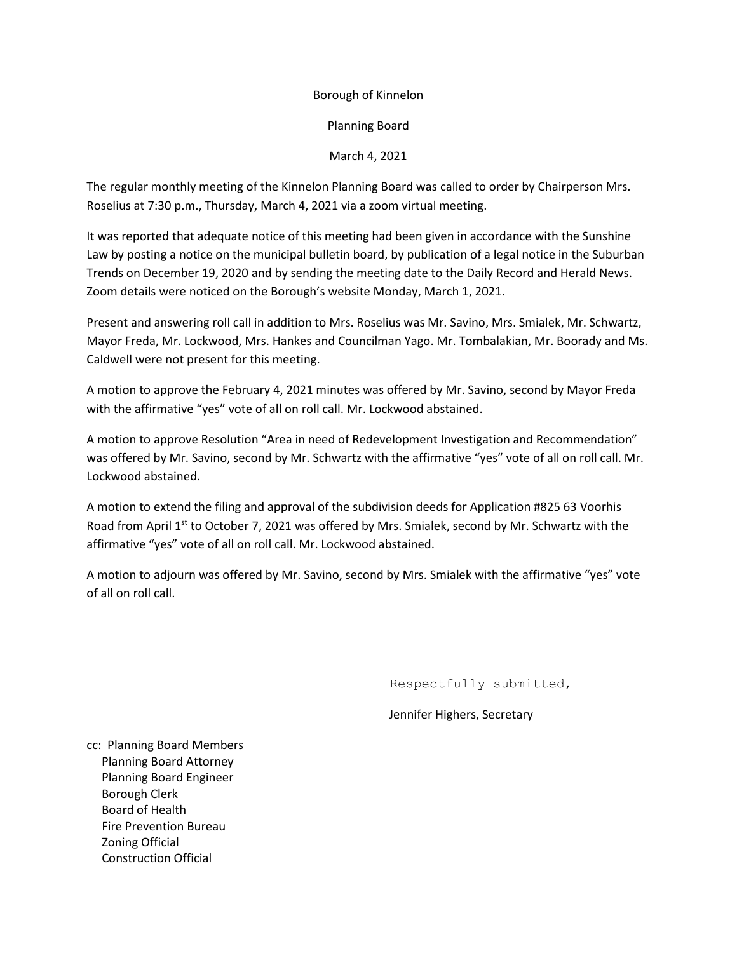## Borough of Kinnelon

Planning Board

## March 4, 2021

The regular monthly meeting of the Kinnelon Planning Board was called to order by Chairperson Mrs. Roselius at 7:30 p.m., Thursday, March 4, 2021 via a zoom virtual meeting.

It was reported that adequate notice of this meeting had been given in accordance with the Sunshine Law by posting a notice on the municipal bulletin board, by publication of a legal notice in the Suburban Trends on December 19, 2020 and by sending the meeting date to the Daily Record and Herald News. Zoom details were noticed on the Borough's website Monday, March 1, 2021.

Present and answering roll call in addition to Mrs. Roselius was Mr. Savino, Mrs. Smialek, Mr. Schwartz, Mayor Freda, Mr. Lockwood, Mrs. Hankes and Councilman Yago. Mr. Tombalakian, Mr. Boorady and Ms. Caldwell were not present for this meeting.

A motion to approve the February 4, 2021 minutes was offered by Mr. Savino, second by Mayor Freda with the affirmative "yes" vote of all on roll call. Mr. Lockwood abstained.

A motion to approve Resolution "Area in need of Redevelopment Investigation and Recommendation" was offered by Mr. Savino, second by Mr. Schwartz with the affirmative "yes" vote of all on roll call. Mr. Lockwood abstained.

A motion to extend the filing and approval of the subdivision deeds for Application #825 63 Voorhis Road from April  $1<sup>st</sup>$  to October 7, 2021 was offered by Mrs. Smialek, second by Mr. Schwartz with the affirmative "yes" vote of all on roll call. Mr. Lockwood abstained.

A motion to adjourn was offered by Mr. Savino, second by Mrs. Smialek with the affirmative "yes" vote of all on roll call.

Respectfully submitted,

Jennifer Highers, Secretary

cc: Planning Board Members Planning Board Attorney Planning Board Engineer Borough Clerk Board of Health Fire Prevention Bureau Zoning Official Construction Official